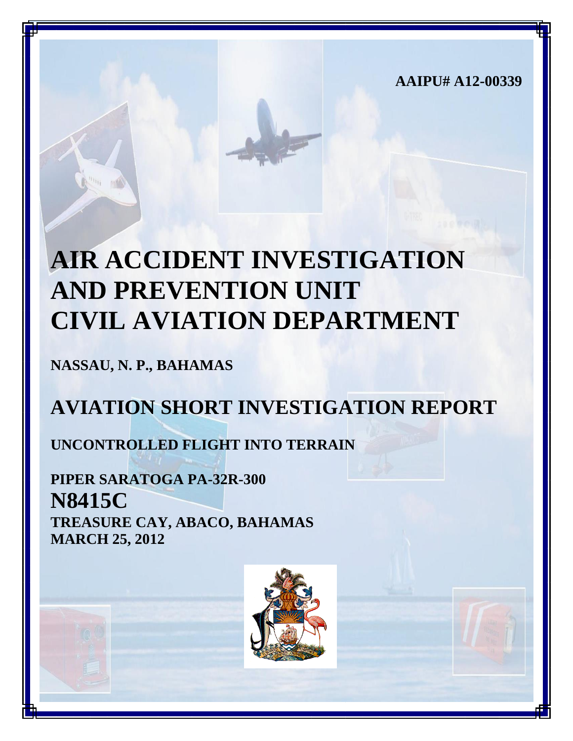**AAIPU# A12-00339**

# **AIR ACCIDENT INVESTIGATION AND PREVENTION UNIT CIVIL AVIATION DEPARTMENT**

**NASSAU, N. P., BAHAMAS**

# **AVIATION SHORT INVESTIGATION REPORT**

**UNCONTROLLED FLIGHT INTO TERRAIN**

**PIPER SARATOGA PA-32R-300 N8415C TREASURE CAY, ABACO, BAHAMAS MARCH 25, 2012**

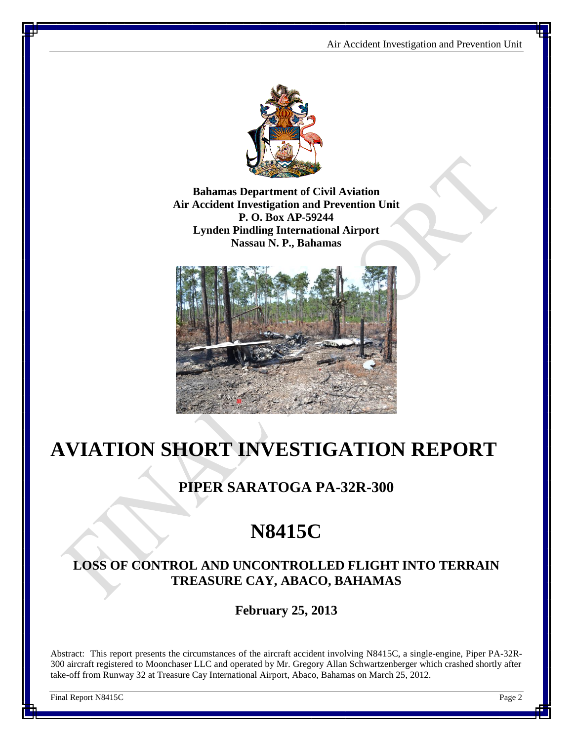

**Bahamas Department of Civil Aviation Air Accident Investigation and Prevention Unit P. O. Box AP-59244 Lynden Pindling International Airport Nassau N. P., Bahamas**



# **AVIATION SHORT INVESTIGATION REPORT**

### **PIPER SARATOGA PA-32R-300**

# **N8415C**

### **LOSS OF CONTROL AND UNCONTROLLED FLIGHT INTO TERRAIN TREASURE CAY, ABACO, BAHAMAS**

**February 25, 2013**

Abstract: This report presents the circumstances of the aircraft accident involving N8415C, a single-engine, Piper PA-32R-300 aircraft registered to Moonchaser LLC and operated by Mr. Gregory Allan Schwartzenberger which crashed shortly after take-off from Runway 32 at Treasure Cay International Airport, Abaco, Bahamas on March 25, 2012.

Final Report N8415C Page 2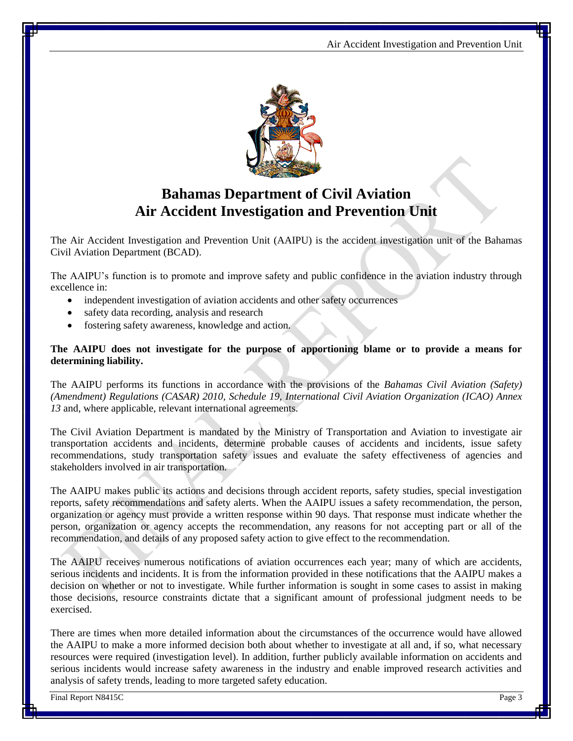

## **Bahamas Department of Civil Aviation Air Accident Investigation and Prevention Unit**

The Air Accident Investigation and Prevention Unit (AAIPU) is the accident investigation unit of the Bahamas Civil Aviation Department (BCAD).

The AAIPU's function is to promote and improve safety and public confidence in the aviation industry through excellence in:

- independent investigation of aviation accidents and other safety occurrences
- safety data recording, analysis and research
- fostering safety awareness, knowledge and action.

#### **The AAIPU does not investigate for the purpose of apportioning blame or to provide a means for determining liability.**

The AAIPU performs its functions in accordance with the provisions of the *Bahamas Civil Aviation (Safety) (Amendment) Regulations (CASAR) 2010, Schedule 19, International Civil Aviation Organization (ICAO) Annex 13* and, where applicable, relevant international agreements.

The Civil Aviation Department is mandated by the Ministry of Transportation and Aviation to investigate air transportation accidents and incidents, determine probable causes of accidents and incidents, issue safety recommendations, study transportation safety issues and evaluate the safety effectiveness of agencies and stakeholders involved in air transportation.

The AAIPU makes public its actions and decisions through accident reports, safety studies, special investigation reports, safety recommendations and safety alerts. When the AAIPU issues a safety recommendation, the person, organization or agency must provide a written response within 90 days. That response must indicate whether the person, organization or agency accepts the recommendation, any reasons for not accepting part or all of the recommendation, and details of any proposed safety action to give effect to the recommendation.

The AAIPU receives numerous notifications of aviation occurrences each year; many of which are accidents, serious incidents and incidents. It is from the information provided in these notifications that the AAIPU makes a decision on whether or not to investigate. While further information is sought in some cases to assist in making those decisions, resource constraints dictate that a significant amount of professional judgment needs to be exercised.

There are times when more detailed information about the circumstances of the occurrence would have allowed the AAIPU to make a more informed decision both about whether to investigate at all and, if so, what necessary resources were required (investigation level). In addition, further publicly available information on accidents and serious incidents would increase safety awareness in the industry and enable improved research activities and analysis of safety trends, leading to more targeted safety education.

Final Report N8415C Page 3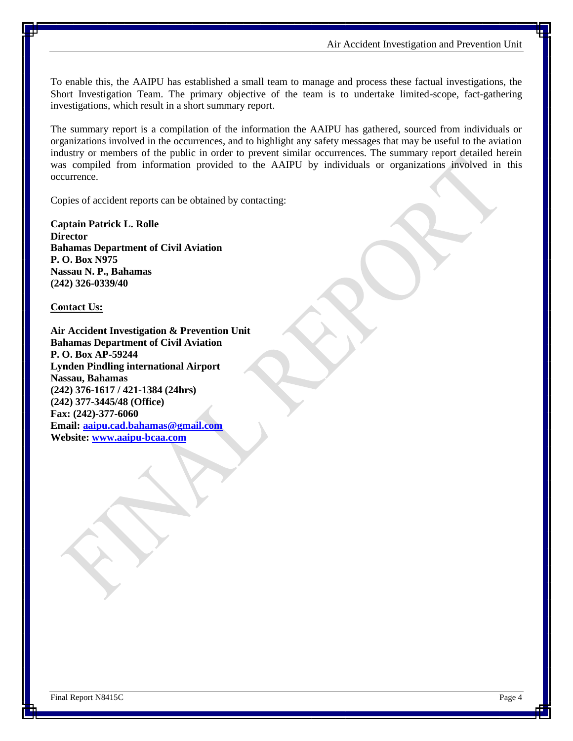To enable this, the AAIPU has established a small team to manage and process these factual investigations, the Short Investigation Team. The primary objective of the team is to undertake limited-scope, fact-gathering investigations, which result in a short summary report.

The summary report is a compilation of the information the AAIPU has gathered, sourced from individuals or organizations involved in the occurrences, and to highlight any safety messages that may be useful to the aviation industry or members of the public in order to prevent similar occurrences. The summary report detailed herein was compiled from information provided to the AAIPU by individuals or organizations involved in this occurrence.

Copies of accident reports can be obtained by contacting:

**Captain Patrick L. Rolle Director Bahamas Department of Civil Aviation P. O. Box N975 Nassau N. P., Bahamas (242) 326-0339/40**

**Contact Us:**

**Air Accident Investigation & Prevention Unit Bahamas Department of Civil Aviation P. O. Box AP-59244 Lynden Pindling international Airport Nassau, Bahamas (242) 376-1617 / 421-1384 (24hrs) (242) 377-3445/48 (Office) Fax: (242)-377-6060 Email: [aaipu.cad.bahamas@gmail.com](mailto:aaipu.cad.bahamas@gmail.com) Website: [www.aaipu-bcaa.com](http://www.aaipu-bcaa.com/)**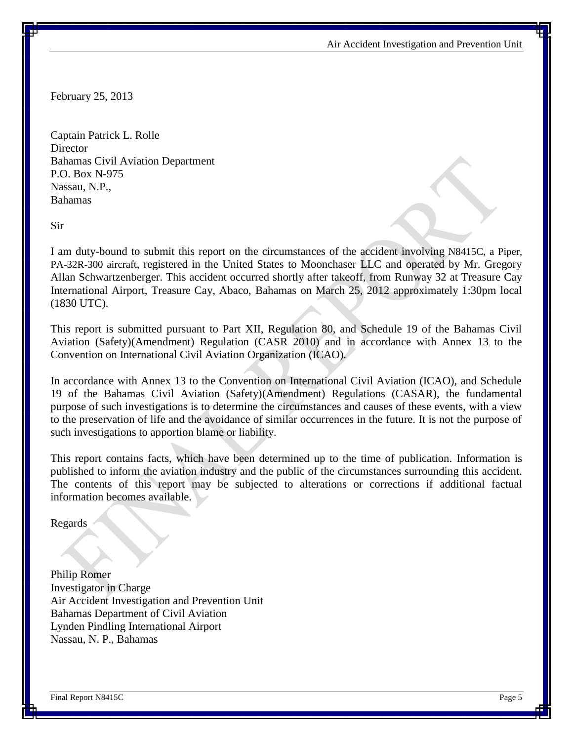February 25, 2013

Captain Patrick L. Rolle **Director** Bahamas Civil Aviation Department P.O. Box N-975 Nassau, N.P., Bahamas

Sir

I am duty-bound to submit this report on the circumstances of the accident involving N8415C, a Piper, PA-32R-300 aircraft, registered in the United States to Moonchaser LLC and operated by Mr. Gregory Allan Schwartzenberger. This accident occurred shortly after takeoff, from Runway 32 at Treasure Cay International Airport, Treasure Cay, Abaco, Bahamas on March 25, 2012 approximately 1:30pm local (1830 UTC).

This report is submitted pursuant to Part XII, Regulation 80, and Schedule 19 of the Bahamas Civil Aviation (Safety)(Amendment) Regulation (CASR 2010) and in accordance with Annex 13 to the Convention on International Civil Aviation Organization (ICAO).

In accordance with Annex 13 to the Convention on International Civil Aviation (ICAO), and Schedule 19 of the Bahamas Civil Aviation (Safety)(Amendment) Regulations (CASAR), the fundamental purpose of such investigations is to determine the circumstances and causes of these events, with a view to the preservation of life and the avoidance of similar occurrences in the future. It is not the purpose of such investigations to apportion blame or liability.

This report contains facts, which have been determined up to the time of publication. Information is published to inform the aviation industry and the public of the circumstances surrounding this accident. The contents of this report may be subjected to alterations or corrections if additional factual information becomes available.

Regards

Philip Romer Investigator in Charge Air Accident Investigation and Prevention Unit Bahamas Department of Civil Aviation Lynden Pindling International Airport Nassau, N. P., Bahamas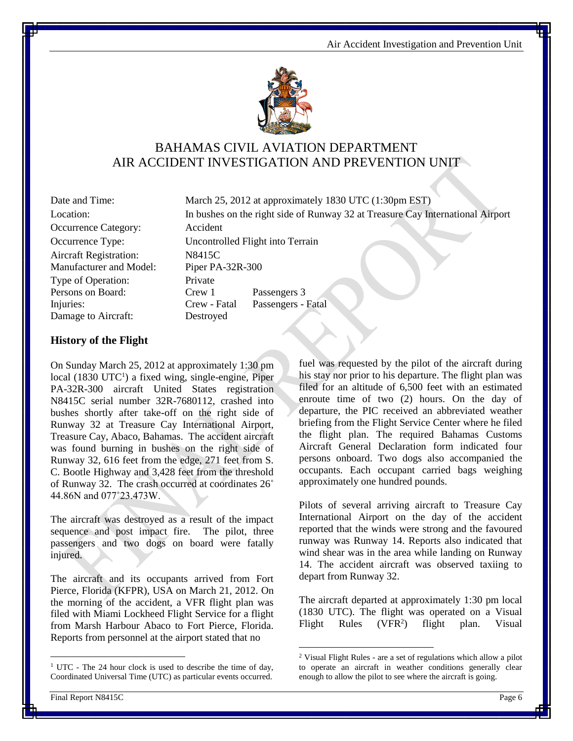

### BAHAMAS CIVIL AVIATION DEPARTMENT AIR ACCIDENT INVESTIGATION AND PREVENTION UNIT

 $\overline{a}$ 

| Date and Time:                | March 25, 2012 at approximately 1   |                    |
|-------------------------------|-------------------------------------|--------------------|
| Location:                     | In bushes on the right side of Runy |                    |
| Occurrence Category:          | Accident                            |                    |
| Occurrence Type:              | Uncontrolled Flight into Terrain    |                    |
| <b>Aircraft Registration:</b> | N8415C                              |                    |
| Manufacturer and Model:       | Piper PA-32R-300                    |                    |
| Type of Operation:            | Private                             |                    |
| Persons on Board:             | Crew 1                              | Passengers 3       |
| Injuries:                     | Crew - Fatal                        | Passengers - Fatal |
| Damage to Aircraft:           | Destroyed                           |                    |

Date and Time: March 25, 2012 at approximately 1830 UTC (1:30pm EST) Location: In bushes on the right side of Runway 32 at Treasure Cay International Airport

#### **History of the Flight**

On Sunday March 25, 2012 at approximately 1:30 pm local (1830 UTC<sup>1</sup>) a fixed wing, single-engine, Piper PA-32R-300 aircraft United States registration N8415C serial number 32R-7680112, crashed into bushes shortly after take-off on the right side of Runway 32 at Treasure Cay International Airport, Treasure Cay, Abaco, Bahamas. The accident aircraft was found burning in bushes on the right side of Runway 32, 616 feet from the edge, 271 feet from S. C. Bootle Highway and 3,428 feet from the threshold of Runway 32. The crash occurred at coordinates 26˚ 44.86N and 077˚23.473W.

The aircraft was destroyed as a result of the impact sequence and post impact fire. The pilot, three passengers and two dogs on board were fatally injured.

The aircraft and its occupants arrived from Fort Pierce, Florida (KFPR), USA on March 21, 2012. On the morning of the accident, a VFR flight plan was filed with Miami Lockheed Flight Service for a flight from Marsh Harbour Abaco to Fort Pierce, Florida. Reports from personnel at the airport stated that no

fuel was requested by the pilot of the aircraft during his stay nor prior to his departure. The flight plan was filed for an altitude of 6,500 feet with an estimated enroute time of two (2) hours. On the day of departure, the PIC received an abbreviated weather briefing from the Flight Service Center where he filed the flight plan. The required Bahamas Customs Aircraft General Declaration form indicated four persons onboard. Two dogs also accompanied the occupants. Each occupant carried bags weighing approximately one hundred pounds.

Pilots of several arriving aircraft to Treasure Cay International Airport on the day of the accident reported that the winds were strong and the favoured runway was Runway 14. Reports also indicated that wind shear was in the area while landing on Runway 14. The accident aircraft was observed taxiing to depart from Runway 32.

The aircraft departed at approximately 1:30 pm local (1830 UTC). The flight was operated on a Visual Flight Rules (VFR<sup>2</sup>) ) flight plan. Visual

 $\overline{a}$ 

<sup>&</sup>lt;sup>1</sup> UTC - The 24 hour clock is used to describe the time of day, Coordinated Universal Time (UTC) as particular events occurred.

<sup>2</sup> Visual Flight Rules - are a set of regulations which allow [a pilot](http://en.wikipedia.org/wiki/Aviator) to operate an [aircraft](http://en.wikipedia.org/wiki/Aircraft) in weather conditions generally clear enough to allow the pilot to see where the aircraft is going.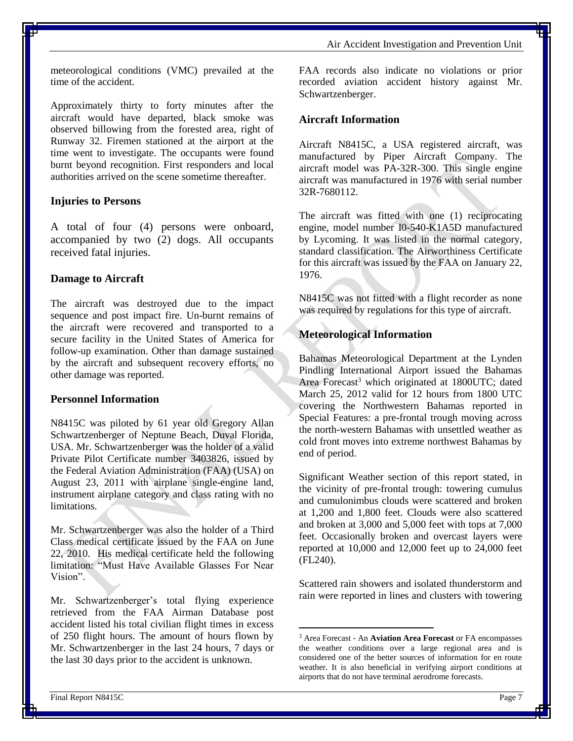Air Accident Investigation and Prevention Unit

meteorological conditions (VMC) prevailed at the time of the accident.

Approximately thirty to forty minutes after the aircraft would have departed, black smoke was observed billowing from the forested area, right of Runway 32. Firemen stationed at the airport at the time went to investigate. The occupants were found burnt beyond recognition. First responders and local authorities arrived on the scene sometime thereafter.

#### **Injuries to Persons**

A total of four (4) persons were onboard, accompanied by two (2) dogs. All occupants received fatal injuries.

#### **Damage to Aircraft**

The aircraft was destroyed due to the impact sequence and post impact fire. Un-burnt remains of the aircraft were recovered and transported to a secure facility in the United States of America for follow-up examination. Other than damage sustained by the aircraft and subsequent recovery efforts, no other damage was reported.

#### **Personnel Information**

N8415C was piloted by 61 year old Gregory Allan Schwartzenberger of Neptune Beach, Duval Florida, USA. Mr. Schwartzenberger was the holder of a valid Private Pilot Certificate number 3403826, issued by the Federal Aviation Administration (FAA) (USA) on August 23, 2011 with airplane single-engine land, instrument airplane category and class rating with no limitations.

Mr. Schwartzenberger was also the holder of a Third Class medical certificate issued by the FAA on June 22, 2010. His medical certificate held the following limitation: "Must Have Available Glasses For Near Vision".

Mr. Schwartzenberger's total flying experience retrieved from the FAA Airman Database post accident listed his total civilian flight times in excess of 250 flight hours. The amount of hours flown by Mr. Schwartzenberger in the last 24 hours, 7 days or the last 30 days prior to the accident is unknown.

FAA records also indicate no violations or prior recorded aviation accident history against Mr. Schwartzenberger.

#### **Aircraft Information**

Aircraft N8415C, a USA registered aircraft, was manufactured by Piper Aircraft Company. The aircraft model was PA-32R-300. This single engine aircraft was manufactured in 1976 with serial number 32R-7680112.

The aircraft was fitted with one (1) reciprocating engine, model number I0-540-K1A5D manufactured by Lycoming. It was listed in the normal category, standard classification. The Airworthiness Certificate for this aircraft was issued by the FAA on January 22, 1976.

N8415C was not fitted with a flight recorder as none was required by regulations for this type of aircraft.

#### **Meteorological Information**

Bahamas Meteorological Department at the Lynden Pindling International Airport issued the Bahamas Area Forecast<sup>3</sup> which originated at 1800UTC; dated March 25, 2012 valid for 12 hours from 1800 UTC covering the Northwestern Bahamas reported in Special Features: a pre-frontal trough moving across the north-western Bahamas with unsettled weather as cold front moves into extreme northwest Bahamas by end of period.

Significant Weather section of this report stated, in the vicinity of pre-frontal trough: towering cumulus and cumulonimbus clouds were scattered and broken at 1,200 and 1,800 feet. Clouds were also scattered and broken at 3,000 and 5,000 feet with tops at 7,000 feet. Occasionally broken and overcast layers were reported at 10,000 and 12,000 feet up to 24,000 feet (FL240).

Scattered rain showers and isolated thunderstorm and rain were reported in lines and clusters with towering

 $\overline{a}$ 

<sup>3</sup> Area Forecast - An **Aviation Area Forecast** or FA encompasses the [weather](http://en.wikipedia.org/wiki/Weather) conditions over a large regional area and is considered one of the better sources of information for en route weather. It is also beneficial in verifying airport conditions at airports that do not have termina[l aerodrome](http://en.wikipedia.org/wiki/Aerodrome) forecasts.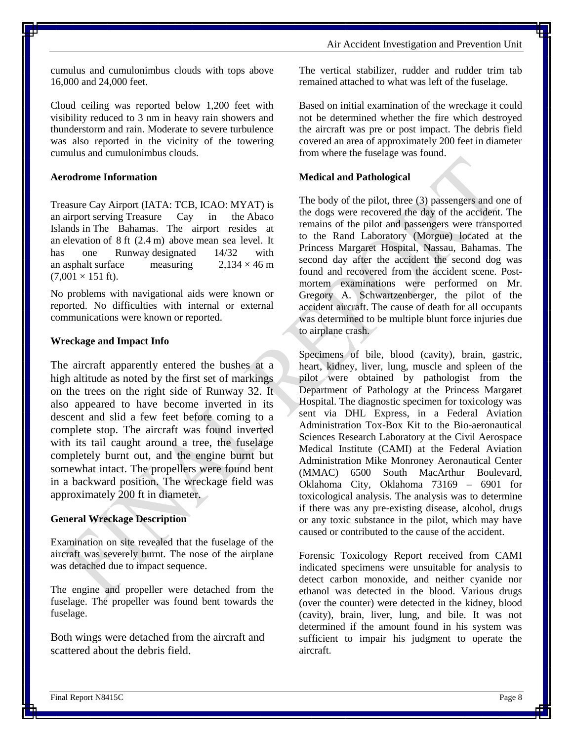cumulus and cumulonimbus clouds with tops above 16,000 and 24,000 feet.

Cloud ceiling was reported below 1,200 feet with visibility reduced to 3 nm in heavy rain showers and thunderstorm and rain. Moderate to severe turbulence was also reported in the vicinity of the towering cumulus and cumulonimbus clouds.

#### **Aerodrome Information**

Treasure Cay Airport [\(IATA:](http://en.wikipedia.org/wiki/International_Air_Transport_Association_airport_code) TCB, [ICAO:](http://en.wikipedia.org/wiki/International_Civil_Aviation_Organization_airport_code) MYAT) is an [airport](http://en.wikipedia.org/wiki/Airport) serving [Treasure Cay](http://en.wikipedia.org/wiki/Treasure_Cay) in the [Abaco](http://en.wikipedia.org/wiki/Abaco_Islands)  [Islands](http://en.wikipedia.org/wiki/Abaco_Islands) in [The Bahamas.](http://en.wikipedia.org/wiki/The_Bahamas) The airport resides at an [elevation](http://en.wikipedia.org/wiki/Elevation) of 8 ft (2.4 m) above [mean sea level.](http://en.wikipedia.org/wiki/Mean_sea_level) It has one Runway-designated 14/32 with an [asphalt](http://en.wikipedia.org/wiki/Asphalt) surface measuring  $2.134 \times 46 \text{ m}$  $(7,001 \times 151$  ft).

No problems with navigational aids were known or reported. No difficulties with internal or external communications were known or reported.

#### **Wreckage and Impact Info**

The aircraft apparently entered the bushes at a high altitude as noted by the first set of markings on the trees on the right side of Runway 32. It also appeared to have become inverted in its descent and slid a few feet before coming to a complete stop. The aircraft was found inverted with its tail caught around a tree, the fuselage completely burnt out, and the engine burnt but somewhat intact. The propellers were found bent in a backward position. The wreckage field was approximately 200 ft in diameter.

#### **General Wreckage Description**

Examination on site revealed that the fuselage of the aircraft was severely burnt. The nose of the airplane was detached due to impact sequence.

The engine and propeller were detached from the fuselage. The propeller was found bent towards the fuselage.

Both wings were detached from the aircraft and scattered about the debris field.

The vertical stabilizer, rudder and rudder trim tab remained attached to what was left of the fuselage.

Based on initial examination of the wreckage it could not be determined whether the fire which destroyed the aircraft was pre or post impact. The debris field covered an area of approximately 200 feet in diameter from where the fuselage was found.

#### **Medical and Pathological**

The body of the pilot, three (3) passengers and one of the dogs were recovered the day of the accident. The remains of the pilot and passengers were transported to the Rand Laboratory (Morgue) located at the Princess Margaret Hospital, Nassau, Bahamas. The second day after the accident the second dog was found and recovered from the accident scene. Postmortem examinations were performed on Mr. Gregory A. Schwartzenberger, the pilot of the accident aircraft. The cause of death for all occupants was determined to be multiple blunt force injuries due to airplane crash.

Specimens of bile, blood (cavity), brain, gastric, heart, kidney, liver, lung, muscle and spleen of the pilot were obtained by pathologist from the Department of Pathology at the Princess Margaret Hospital. The diagnostic specimen for toxicology was sent via DHL Express, in a Federal Aviation Administration Tox-Box Kit to the Bio-aeronautical Sciences Research Laboratory at the Civil Aerospace Medical Institute (CAMI) at the Federal Aviation Administration Mike Monroney Aeronautical Center (MMAC) 6500 South MacArthur Boulevard, Oklahoma City, Oklahoma 73169 – 6901 for toxicological analysis. The analysis was to determine if there was any pre-existing disease, alcohol, drugs or any toxic substance in the pilot, which may have caused or contributed to the cause of the accident.

Forensic Toxicology Report received from CAMI indicated specimens were unsuitable for analysis to detect carbon monoxide, and neither cyanide nor ethanol was detected in the blood. Various drugs (over the counter) were detected in the kidney, blood (cavity), brain, liver, lung, and bile. It was not determined if the amount found in his system was sufficient to impair his judgment to operate the aircraft.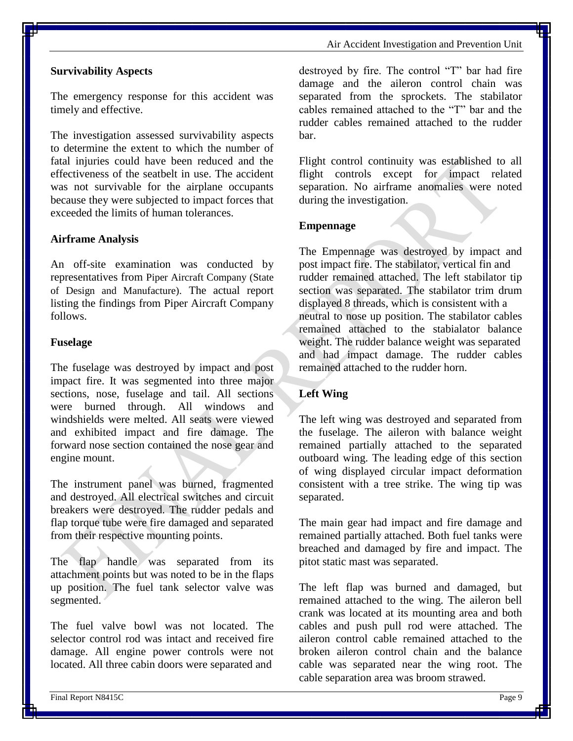Air Accident Investigation and Prevention Unit

#### **Survivability Aspects**

The emergency response for this accident was timely and effective.

The investigation assessed survivability aspects to determine the extent to which the number of fatal injuries could have been reduced and the effectiveness of the seatbelt in use. The accident was not survivable for the airplane occupants because they were subjected to impact forces that exceeded the limits of human tolerances.

#### **Airframe Analysis**

An off-site examination was conducted by representatives from Piper Aircraft Company (State of Design and Manufacture). The actual report listing the findings from Piper Aircraft Company follows.

#### **Fuselage**

The fuselage was destroyed by impact and post impact fire. It was segmented into three major sections, nose, fuselage and tail. All sections were burned through. All windows and windshields were melted. All seats were viewed and exhibited impact and fire damage. The forward nose section contained the nose gear and engine mount.

The instrument panel was burned, fragmented and destroyed. All electrical switches and circuit breakers were destroyed. The rudder pedals and flap torque tube were fire damaged and separated from their respective mounting points.

The flap handle was separated from its attachment points but was noted to be in the flaps up position. The fuel tank selector valve was segmented.

The fuel valve bowl was not located. The selector control rod was intact and received fire damage. All engine power controls were not located. All three cabin doors were separated and

destroyed by fire. The control "T" bar had fire damage and the aileron control chain was separated from the sprockets. The stabilator cables remained attached to the "T" bar and the rudder cables remained attached to the rudder bar.

Flight control continuity was established to all flight controls except for impact related separation. No airframe anomalies were noted during the investigation.

#### **Empennage**

The Empennage was destroyed by impact and post impact fire. The stabilator, vertical fin and rudder remained attached. The left stabilator tip section was separated. The stabilator trim drum displayed 8 threads, which is consistent with a neutral to nose up position. The stabilator cables remained attached to the stabialator balance weight. The rudder balance weight was separated and had impact damage. The rudder cables remained attached to the rudder horn.

#### **Left Wing**

The left wing was destroyed and separated from the fuselage. The aileron with balance weight remained partially attached to the separated outboard wing. The leading edge of this section of wing displayed circular impact deformation consistent with a tree strike. The wing tip was separated.

The main gear had impact and fire damage and remained partially attached. Both fuel tanks were breached and damaged by fire and impact. The pitot static mast was separated.

The left flap was burned and damaged, but remained attached to the wing. The aileron bell crank was located at its mounting area and both cables and push pull rod were attached. The aileron control cable remained attached to the broken aileron control chain and the balance cable was separated near the wing root. The cable separation area was broom strawed.